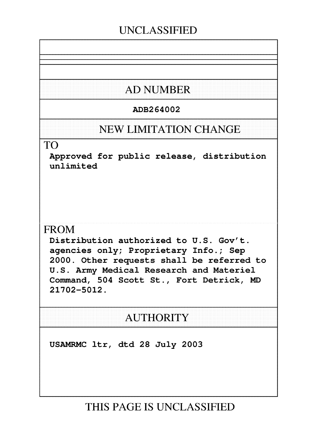# **UNCLASSIFIED**

# **AD NUMBER**

# ADB264002

# **NEW LIMITATION CHANGE**

# TO

Approved for public release, distribution unlimited

# FROM

Distribution authorized to U.S. Gov't. agencies only; Proprietary Info.; Sep 2000. Other requests shall be referred to U.S. Army Medical Research and Materiel Command, 504 Scott St., Fort Detrick, MD 21702-5012.

# **AUTHORITY**

USAMRMC ltr, dtd 28 July 2003

**THIS PAGE IS UNCLASSIFIED**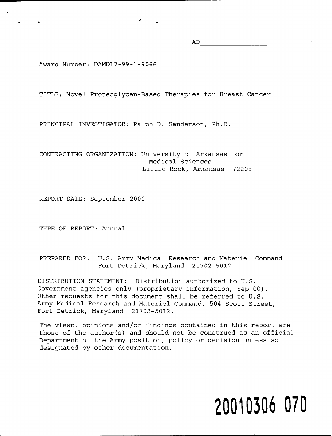AD

Award Number: DAMDl7-99-1-9066

TITLE: Novel Proteoglycan-Based Therapies for Breast Cancer

PRINCIPAL INVESTIGATOR: Ralph D. Sanderson, Ph.D.

CONTRACTING ORGANIZATION: University of Arkansas for Medical Sciences Little Rock, Arkansas 72205

REPORT DATE: September 2000

TYPE OF REPORT: Annual

PREPARED FOR: U.S. Army Medical Research and Materiel Command Fort Detrick, Maryland 21702-5012

DISTRIBUTION STATEMENT: Distribution authorized to U.S. Government agencies only (proprietary information, Sep 00). Other requests for this document shall be referred to U.S. Army Medical Research and Materiel Command, 504 Scott Street, Fort Detrick, Maryland 21702-5012.

The views, opinions and/or findings contained in this report are those of the author(s) and should not be construed as an official Department of the Army position, policy or decision unless so designated by other documentation.

# **20010306** 070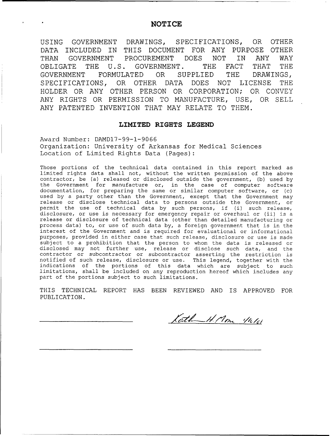#### NOTICE

USING GOVERNMENT DRAWINGS, SPECIFICATIONS, OR OTHER DATA INCLUDED IN THIS DOCUMENT FOR ANY PURPOSE OTHER THAN GOVERNMENT PROCUREMENT DOES NOT IN ANY WAY OBLIGATE THE U.S. GOVERNMENT. THE FACT THAT THE GOVERNMENT FORMULATED OR SUPPLIED THE DRAWINGS, SPECIFICATIONS, OR OTHER DATA DOES NOT LICENSE THE HOLDER OR ANY OTHER PERSON OR CORPORATION; OR CONVEY ANY RIGHTS OR PERMISSION TO MANUFACTURE, USE, OR SELL ANY PATENTED INVENTION THAT MAY RELATE TO THEM.

#### LIMITED RIGHTS **LEGEND**

Award Number: DAMD17-99-1-9066 Organization: University of Arkansas for Medical Sciences Location of Limited Rights Data (Pages):

Those portions of the technical data contained in this report marked as limited rights data shall not, without the written permission of the above contractor, be (a) released or disclosed outside the government, (b) used by the Government for manufacture or, in the case of computer software documentation, for preparing the same or similar computer software, or (c) used by a party other than the Government, except that the Government may release or disclose technical data to persons outside the Government, or permit the use of technical data by such persons, if (i) such release, disclosure, or use is necessary for emergency repair or overhaul or (ii) is a release or disclosure of technical data (other than detailed manufacturing or process data) to, or use of such data by, a foreign government that is in the interest of the Government and is required for evaluational or informational purposes, provided in either case that such release, disclosure or use is made subject to a prohibition that the person to whom the data is released or disclosed may not further use, release or disclose such data, and the contractor or subcontractor or subcontractor asserting the restriction is notified of such release, disclosure or use. This legend, together with the indications of the portions of this data which are subject to such limitations, shall be included on any reproduction hereof which includes any part of the portions subject to such limitations.

THIS TECHNICAL REPORT HAS BEEN REVIEWED AND IS APPROVED FOR PUBLICATION.

Kath H. Mon 116/61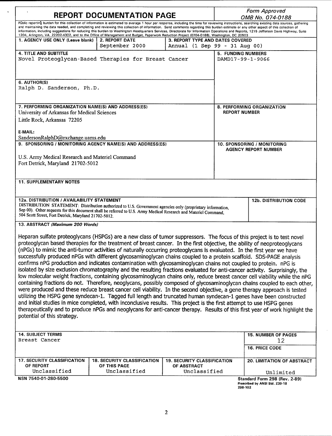| <b>REPORT DOCUMENTATION PAGE</b>                                                                                                                                                                                                                                                                                                                                                                                                                                                                                                                                                                                                                                                                                                                                                                                                                                                                                                                                                                                                                                                                                                                                                                                                                                                                                                                                                                                                                                                                                                                          |                                                    |                                                                   | Form Approved<br>OMB No. 074-0188                  |                                                                              |  |  |
|-----------------------------------------------------------------------------------------------------------------------------------------------------------------------------------------------------------------------------------------------------------------------------------------------------------------------------------------------------------------------------------------------------------------------------------------------------------------------------------------------------------------------------------------------------------------------------------------------------------------------------------------------------------------------------------------------------------------------------------------------------------------------------------------------------------------------------------------------------------------------------------------------------------------------------------------------------------------------------------------------------------------------------------------------------------------------------------------------------------------------------------------------------------------------------------------------------------------------------------------------------------------------------------------------------------------------------------------------------------------------------------------------------------------------------------------------------------------------------------------------------------------------------------------------------------|----------------------------------------------------|-------------------------------------------------------------------|----------------------------------------------------|------------------------------------------------------------------------------|--|--|
| Public reporting burden for this collection of information is estimated to average 1 hour per response, including the time for reviewing instructions, searching existing data sources, gathering<br>and maintaining the data needed, and completing and reviewing this collection of information. Send comments regarding this burden estimate or any other aspect of this collection of<br>information, including suggestions for reducing this burden to Washington Headquarters Services, Directorate for Information Operations and Reports, 1215 Jefferson Davis Highway, Suite<br>1204, Arlington, VA 22202-4302, and to the Office of Management and Budget, Paperwork Reduction Project (0704-0188), Washington, DC 20503                                                                                                                                                                                                                                                                                                                                                                                                                                                                                                                                                                                                                                                                                                                                                                                                                        |                                                    |                                                                   |                                                    |                                                                              |  |  |
| 1. AGENCY USE ONLY (Leave blank)                                                                                                                                                                                                                                                                                                                                                                                                                                                                                                                                                                                                                                                                                                                                                                                                                                                                                                                                                                                                                                                                                                                                                                                                                                                                                                                                                                                                                                                                                                                          | <b>2. REPORT DATE</b><br>September 2000            | 3. REPORT TYPE AND DATES COVERED<br>Annual (1 Sep 99 - 31 Aug 00) |                                                    |                                                                              |  |  |
| <b>4. TITLE AND SUBTITLE</b><br>Novel Proteoglycan-Based Therapies for Breast Cancer                                                                                                                                                                                                                                                                                                                                                                                                                                                                                                                                                                                                                                                                                                                                                                                                                                                                                                                                                                                                                                                                                                                                                                                                                                                                                                                                                                                                                                                                      |                                                    | <b>5. FUNDING NUMBERS</b><br>DAMD17-99-1-9066                     |                                                    |                                                                              |  |  |
| 6. AUTHOR(S)<br>Ralph D. Sanderson, Ph.D.                                                                                                                                                                                                                                                                                                                                                                                                                                                                                                                                                                                                                                                                                                                                                                                                                                                                                                                                                                                                                                                                                                                                                                                                                                                                                                                                                                                                                                                                                                                 |                                                    |                                                                   |                                                    |                                                                              |  |  |
| 7. PERFORMING ORGANIZATION NAME(S) AND ADDRESS(ES)<br>University of Arkansas for Medical Sciences<br>Little Rock, Arkansas 72205<br>E-MAIL:                                                                                                                                                                                                                                                                                                                                                                                                                                                                                                                                                                                                                                                                                                                                                                                                                                                                                                                                                                                                                                                                                                                                                                                                                                                                                                                                                                                                               |                                                    |                                                                   | 8. PERFORMING ORGANIZATION<br><b>REPORT NUMBER</b> |                                                                              |  |  |
| SandersonRalphD@exchange.uams.edu<br>9. SPONSORING / MONITORING AGENCY NAME(S) AND ADDRESS(ES)<br>U.S. Army Medical Research and Materiel Command<br>Fort Detrick, Maryland 21702-5012                                                                                                                                                                                                                                                                                                                                                                                                                                                                                                                                                                                                                                                                                                                                                                                                                                                                                                                                                                                                                                                                                                                                                                                                                                                                                                                                                                    |                                                    | <b>10. SPONSORING / MONITORING</b><br><b>AGENCY REPORT NUMBER</b> |                                                    |                                                                              |  |  |
| <b>11. SUPPLEMENTARY NOTES</b>                                                                                                                                                                                                                                                                                                                                                                                                                                                                                                                                                                                                                                                                                                                                                                                                                                                                                                                                                                                                                                                                                                                                                                                                                                                                                                                                                                                                                                                                                                                            |                                                    |                                                                   |                                                    |                                                                              |  |  |
| 12a. DISTRIBUTION / AVAILABILITY STATEMENT<br>DISTRIBUTION STATEMENT: Distribution authorized to U.S. Government agencies only (proprietary information,<br>Sep 00). Other requests for this document shall be referred to U.S. Army Medical Research and Materiel Command,<br>504 Scott Street, Fort Detrick, Maryland 21702-5012.                                                                                                                                                                                                                                                                                                                                                                                                                                                                                                                                                                                                                                                                                                                                                                                                                                                                                                                                                                                                                                                                                                                                                                                                                       |                                                    |                                                                   |                                                    | <b>12b. DISTRIBUTION CODE</b>                                                |  |  |
| 13. ABSTRACT (Maximum 200 Words)                                                                                                                                                                                                                                                                                                                                                                                                                                                                                                                                                                                                                                                                                                                                                                                                                                                                                                                                                                                                                                                                                                                                                                                                                                                                                                                                                                                                                                                                                                                          |                                                    |                                                                   |                                                    |                                                                              |  |  |
| Heparan sulfate proteoglycans (HSPGs) are a new class of tumor suppressors. The focus of this project is to test novel<br>proteoglycan based therapies for the treatment of breast cancer. In the first objective, the ability of neoproteoglycans<br>(nPGs) to mimic the anti-tumor activities of naturally occurring proteoglycans is evaluated. In the first year we have<br>successfully produced nPGs with different glycosaminoglycan chains coupled to a protein scaffold. SDS-PAGE analysis<br>confirms nPG production and indicates contamination with glycosaminoglycan chains not coupled to protein. nPG is<br>isolated by size exclusion chromatography and the resulting fractions evaluated for anti-cancer activity. Surprisingly, the<br>low molecular weight fractions, containing glycosaminoglycan chains only, reduce breast cancer cell viability while the nPG<br>containing fractions do not. Therefore, neoglycans, possibly composed of glycosaminoglycan chains coupled to each other,<br>were produced and these reduce breast cancer cell viability. In the second objective, a gene therapy approach is tested<br>utilizing the HSPG gene syndecan-1. Tagged full length and truncated human syndecan-1 genes have been constructed<br>and initial studies in mice completed, with inconclusive results. This project is the first attempt to use HSPG genes<br>therapeutically and to produce nPGs and neoglycans for anti-cancer therapy. Results of this first year of work highlight the<br>potential of this strategy. |                                                    |                                                                   |                                                    |                                                                              |  |  |
| <b>14. SUBJECT TERMS</b><br>Breast Cancer                                                                                                                                                                                                                                                                                                                                                                                                                                                                                                                                                                                                                                                                                                                                                                                                                                                                                                                                                                                                                                                                                                                                                                                                                                                                                                                                                                                                                                                                                                                 |                                                    |                                                                   |                                                    | <b>15. NUMBER OF PAGES</b><br>12                                             |  |  |
|                                                                                                                                                                                                                                                                                                                                                                                                                                                                                                                                                                                                                                                                                                                                                                                                                                                                                                                                                                                                                                                                                                                                                                                                                                                                                                                                                                                                                                                                                                                                                           |                                                    |                                                                   |                                                    | 16. PRICE CODE                                                               |  |  |
| <b>17. SECURITY CLASSIFICATION</b><br>OF REPORT                                                                                                                                                                                                                                                                                                                                                                                                                                                                                                                                                                                                                                                                                                                                                                                                                                                                                                                                                                                                                                                                                                                                                                                                                                                                                                                                                                                                                                                                                                           | <b>18. SECURITY CLASSIFICATION</b><br>OF THIS PAGE | <b>19. SECURITY CLASSIFICATION</b><br><b>OF ABSTRACT</b>          |                                                    | <b>20. LIMITATION OF ABSTRACT</b>                                            |  |  |
| Unclassified<br>NSN 7540-01-280-5500                                                                                                                                                                                                                                                                                                                                                                                                                                                                                                                                                                                                                                                                                                                                                                                                                                                                                                                                                                                                                                                                                                                                                                                                                                                                                                                                                                                                                                                                                                                      | Unclassified                                       | Unclassified                                                      |                                                    | Unlimited<br>Standard Form 298 (Rev. 2-89)<br>Proscribed by ANSI Std. 730-18 |  |  |

| Prescribed by ANSI Std. Z39-18 |  |  |
|--------------------------------|--|--|
| 298-102                        |  |  |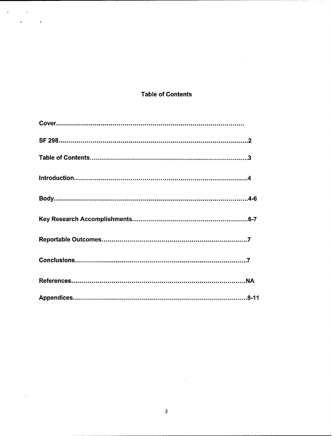## **Table of Contents**

 $\label{eq:2} \begin{split} \mathcal{L}^{(1)}&=\mathcal{L}^{(1)}\left(\mathcal{L}^{(1)}\right)\\ &=\mathcal{L}^{(1)}\left(\mathcal{L}^{(1)}\right)\\ &=\mathcal{L}^{(1)}\left(\mathcal{L}^{(1)}\right)\\ &=\mathcal{L}^{(1)}\left(\mathcal{L}^{(1)}\right)\\ &=\mathcal{L}^{(1)}\left(\mathcal{L}^{(1)}\right)\\ &=\mathcal{L}^{(1)}\left(\mathcal{L}^{(1)}\right)\\ &=\mathcal{L}^{(1)}\left(\mathcal{L}^{(1)}\right)\\ &=\mathcal{L}^{($ 

 $\sim 10^6$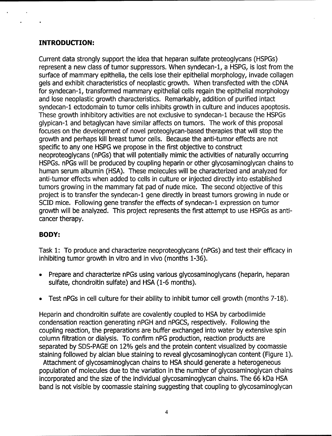## **INTRODUCTION:**

Current data strongly support the idea that heparan sulfate proteoglycans (HSPGs) represent a new class of tumor suppressors. When syndecan-1, a HSPG, is lost from the surface of mammary epithelia, the cells lose their epithelial morphology, invade collagen gels and exhibit characteristics of neoplastic growth. When transfected with the cDNA for syndecan-1, transformed mammary epithelial cells regain the epithelial morphology and lose neoplastic growth characteristics. Remarkably, addition of purified intact syndecan-1 ectodomain to tumor cells inhibits growth in culture and induces apoptosis. These growth inhibitory activities are not exclusive to syndecan-1 because the HSPGs glypican-1 and betaglycan have similar affects on tumors. The work of this proposal focuses on the development of novel proteoglycan-based therapies that will stop the growth and perhaps kill breast tumor cells. Because the anti-tumor effects are not specific to any one HSPG we propose in the first objective to construct neoproteoglycans (nPGs) that will potentially mimic the activities of naturally occurring HSPGs. nPGs will be produced by coupling heparin or other glycosaminoglycan chains to human serum albumin (HSA). These molecules will be characterized and analyzed for anti-tumor effects when added to cells in culture or injected directly into established tumors growing in the mammary fat pad of nude mice. The second objective of this project is to transfer the syndecan-1 gene directly in breast tumors growing in nude or SCID mice. Following gene transfer the effects of syndecan-1 expression on tumor growth will be analyzed. This project represents the first attempt to use HSPGs as anticancer therapy.

## BODY:

Task 1: To produce and characterize neoproteoglycans (nPGs) and test their efficacy in inhibiting tumor growth in vitro and in vivo (months 1-36).

- Prepare and characterize nPGs using various glycosaminoglycans (heparin, heparan sulfate, chondroitin sulfate) and HSA (1-6 months).
- Test nPGs in cell culture for their ability to inhibit tumor cell growth (months 7-18).

Heparin and chondroitin sulfate are covalently coupled to HSA by carbodiimide condensation reaction generating nPGH and nPGCS, respectively. Following the coupling reaction, the preparations are buffer exchanged into water by extensive spin column filtration or dialysis. To confirm nPG production, reaction products are separated by SDS-PAGE on 12% gels and the protein content visualized by coomassie staining followed by alcian blue staining to reveal glycosaminoglycan content (Figure 1).

Attachment of glycosaminoglycan chains to HSA should generate a heterogeneous population of molecules due to the variation in the number of glycosaminoglycan chains incorporated and the size of the individual glycosaminoglycan chains. The 66 kDa HSA band is not visible by coomassie staining suggesting that coupling to glycosaminoglycan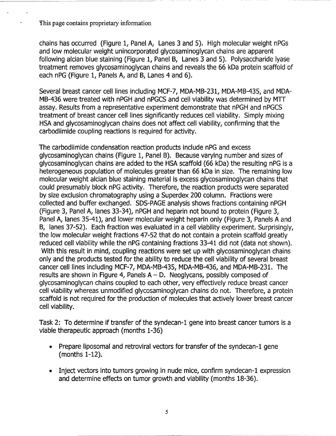This page contains proprietary information

chains has occurred (Figure 1, Panel A, Lanes 3 and 5). High molecular weight nPGs and low molecular weight unincorporated glycosaminoglycan chains are apparent following alcian blue staining (Figure 1, Panel B, Lanes 3 and 5). Polysaccharide lyase treatment removes glycosaminoglycan chains and reveals the 66 kDa protein scaffold of each nPG (Figure 1, Panels A, and B, Lanes 4 and 6).

Several breast cancer cell lines including MCF-7, MDA-MB-231, MDA-MB-435, and MDA-MB-436 were treated with nPGH and nPGCS and cell viability was determined by MTT assay. Results from a representative experiment demonstrate that nPGH and nPGCS treatment of breast cancer cell lines significantly reduces cell viability. Simply mixing HSA and glycosaminoglycan chains does not affect cell viability, confirming that the carbodiimide coupling reactions is required for activity.

The carbodiimide condensation reaction products include nPG and excess glycosaminoglycan chains (Figure 1, Panel B). Because varying number and sizes of glycosaminoglycan chains are added to the HSA scaffold (66 kDa) the resulting nPG is a heterogeneous population of molecules greater than 66 kDa in size. The remaining low molecular weight alcian blue staining material is excess glycosaminoglycan chains that could presumably block nPG activity. Therefore, the reaction products were separated by size exclusion chromatography using a Superdex 200 column. Fractions were collected and buffer exchanged. SDS-PAGE analysis shows fractions containing nPGH (Figure 3, Panel A, lanes 33-34), nPGH and heparin not bound to protein (Figure 3, Panel A, lanes 35-41), and lower molecular weight heparin only (Figure 3, Panels A and B, lanes 37-52). Each fraction was evaluated in a cell viability experiment. Surprisingly, the low molecular weight fractions 47-52 that do not contain a protein scaffold greatly reduced cell viability while the nPG containing fractions 33-41 did not (data not shown). With this result in mind, coupling reactions were set up with glycosaminoglycan chains only and the products tested for the ability to reduce the cell viability of several breast cancer cell lines including MCF-7, MDA-MB-435, MDA-MB-436, and MDA-MB-231. The results are shown in Figure 4, Panels  $A - D$ . Neoglycans, possibly composed of glycosaminoglycan chains coupled to each other, very effectively reduce breast cancer cell viability whereas unmodified glycosaminoglycan chains do not. Therefore, a protein scaffold is not required for the production of molecules that actively lower breast cancer cell viability.

Task 2: To determine if transfer of the syndecan-1 gene into breast cancer tumors is a viable therapeutic approach (months 1-36)

- \* Prepare liposomal and retroviral vectors for transfer of the syndecan-1 gene (months 1-12).
- Inject vectors into tumors growing in nude mice, confirm syndecan-1 expression and determine effects on tumor growth and viability (months 18-36).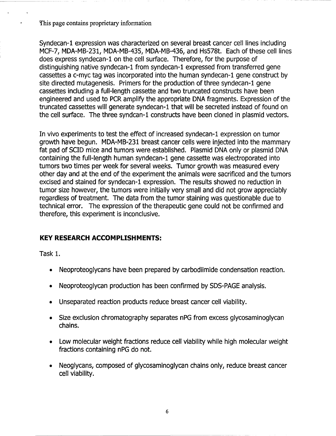This page contains proprietary information

Syndecan-1 expression was characterized on several breast cancer cell lines including MCF-7, MDA-MB-231, MDA-MB-435, MDA-MB-436, and Hs578t. Each of these cell lines does express syndecan-1 on the cell surface. Therefore, for the purpose of distinguishing native syndecan-1 from syndecan-1 expressed from transferred gene cassettes a c-myc tag was incorporated into the human syndecan-1 gene construct by site directed mutagenesis. Primers for the production of three syndecan-1 gene cassettes including a full-length cassette and two truncated constructs have been engineered and used to PCR amplify the appropriate DNA fragments. Expression of the truncated cassettes will generate syndecan-1 that will be secreted instead of found on the cell surface. The three syndcan-1 constructs have been cloned in plasmid vectors.

In vivo experiments to test the effect of increased syndecan-1 expression on tumor growth have begun. MDA-MB-231 breast cancer cells were injected into the mammary fat pad of SCID mice and tumors were established. Plasmid DNA only or plasmid DNA containing the full-length human syndecan-1 gene cassette was electroporated into tumors two times per week for several weeks. Tumor growth was measured every other day and at the end of the experiment the animals were sacrificed and the tumors excised and stained for syndecan-1 expression. The results showed no reduction in tumor size however, the tumors were initially very small and did not grow appreciably regardless of treatment. The data from the tumor staining was questionable due to technical error. The expression of the therapeutic gene could not be confirmed and therefore, this experiment is inconclusive.

### KEY RESEARCH **ACCOMPLISHMENTS:**

Task **1.**

- Neoproteoglycans have been prepared by carbodiimide condensation reaction.
- Neoproteoglycan production has been confirmed by SDS-PAGE analysis.
- Unseparated reaction products reduce breast cancer cell viability.
- Size exclusion chromatography separates nPG from excess glycosaminoglycan chains.
- Low molecular weight fractions reduce cell viability while high molecular weight fractions containing nPG do not.
- Neoglycans, composed of glycosaminoglycan chains only, reduce breast cancer cell viability.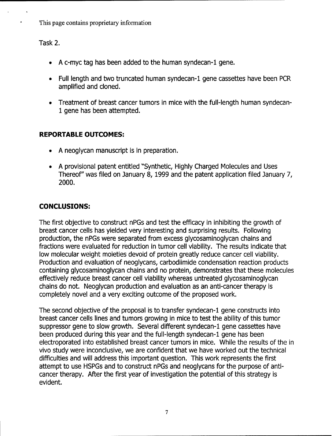This page contains proprietary information

Task 2.

- A c-myc tag has been added to the human syndecan-1 gene.
- Full length and two truncated human syndecan-1 gene cassettes have been PCR amplified and cloned.
- Treatment of breast cancer tumors in mice with the full-length human syndecan-1 gene has been attempted.

## REPORTABLE **OUTCOMES:**

- **"\* A** neoglycan manuscript is in preparation.
- "• **A** provisional patent entitled "Synthetic, Highly Charged Molecules and Uses Thereof" was filed on January **8,** 1999 and the patent application filed January 7, 2000.

# **CONCLUSIONS:**

The first objective to construct nPGs and test the efficacy in inhibiting the growth of breast cancer cells has yielded very interesting and surprising results. Following production, the nPGs were separated from excess glycosaminoglycan chains and fractions were evaluated for reduction in tumor cell viability. The results indicate that low molecular weight moieties devoid of protein greatly reduce cancer cell viability. Production and evaluation of neoglycans, carbodiimide condensation reaction products containing glycosaminoglycan chains and no protein, demonstrates that these molecules effectively reduce breast cancer cell viability whereas untreated glycosaminoglycan chains do not. Neoglycan production and evaluation as an anti-cancer therapy is completely novel and a very exciting outcome of the proposed work.

The second objective of the proposal is to transfer syndecan-1 gene constructs into breast cancer cells lines and tumors growing in mice to test the ability of this tumor suppressor gene to slow growth. Several different syndecan-1 gene cassettes have been produced during this year and the full-length syndecan-1 gene has been electroporated into established breast cancer tumors in mice. While the results of the in vivo study were inconclusive, we are confident that we have worked out the technical difficulties and will address this important question. This work represents the first attempt to use HSPGs and to construct nPGs and neoglycans for the purpose of anticancer therapy. After the first year of investigation the potential of this strategy is evident.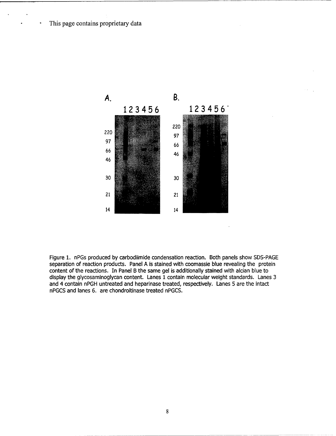This page contains proprietary data



Figure 1. nPGs produced by carbodiimide condensation reaction. Both panels show SDS-PAGE separation of reaction products. Panel A is stained with coomassie blue revealing the protein content of the reactions. In Panel B the same gel is additionally stained with alcian blue to display the glycosaminoglycan content. Lanes 1 contain molecular weight standards. Lanes 3 and 4 contain nPGH untreated and heparinase treated, respectively. Lanes 5 are the intact nPGCS and lanes 6. are chondroitinase treated nPGCS.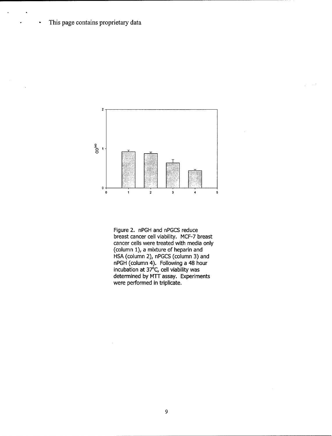This page contains proprietary data

.

 $\bar{z}$ 

 $\bullet$ 



Figure 2. nPGH and nPGCS reduce breast cancer cell viability. MCF-7 breast cancer cells were treated with media only (column 1), a mixture of heparin and HSA (column 2), nPGCS (column 3) and nPGH (column 4). Following a 48 hour incubation at  $37^{\circ}$ C, cell viability was determined by MTT assay. Experiments were performed in triplicate.

**9**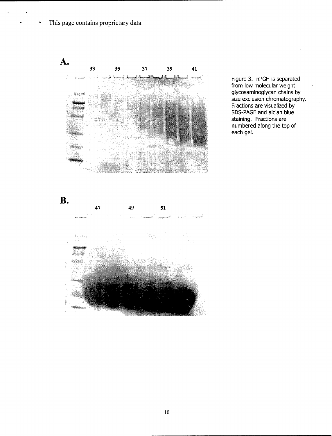This page contains proprietary data

 $\ddot{\phantom{1}}$ 

**A.** 33 35 37 39 41 **-** Figure **3.** nPGH is separated S..glycosaminoglycan chains by numbered along the top of  $\overline{\phantom{a}}$  .  $\overline{\phantom{a}}$  and  $\overline{\phantom{a}}$  and  $\overline{\phantom{a}}$  and  $\overline{\phantom{a}}$  and  $\overline{\phantom{a}}$  and  $\overline{\phantom{a}}$  and  $\overline{\phantom{a}}$  and  $\overline{\phantom{a}}$  and  $\overline{\phantom{a}}$  and  $\overline{\phantom{a}}$  and  $\overline{\phantom{a}}$  and  $\overline{\phant$ 

from low molecular weight size exclusion chromatography. Fractions are visualized **by** SDS-PAGE and alcian blue staining. Fractions are



10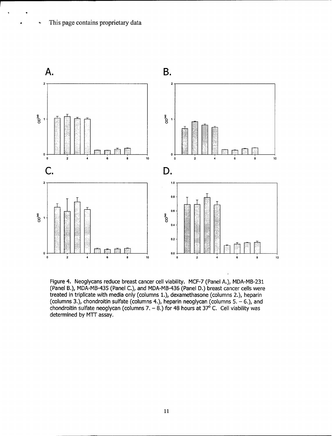Ċ,



Figure 4. Neoglycans reduce breast cancer cell viability. MCF-7 (Panel A.), MDA-MB-231 (Panel B.), MDA-MB-435 (Panel C.), and MDA-MB-436 (Panel D.) breast cancer cells were treated in triplicate with media only (columns 1.), dexamethasone (columns 2.), heparin (columns 3.), chondroitin sulfate (columns 4.), heparin neoglycan (columns  $5 - 6$ .), and chondroitin sulfate neoglycan (columns 7.  $- 8$ .) for 48 hours at 37<sup>o</sup> C. Cell viability was determined by MTT assay.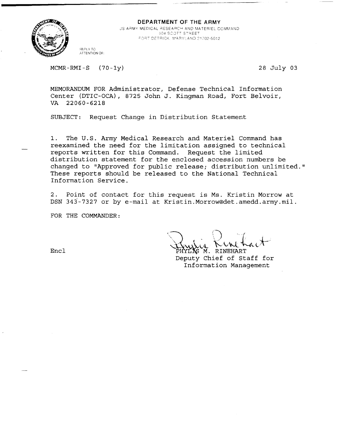

**<sup>9</sup>**DEPARTMENT OF THE ARMY US ARMY MEDICAL RESEARCH AND MATERIEL COMMAND *.-* DE *E* Rl'K APY! **AND** *21,702-5012*

**REPLY TO ATTENTION** OF:

MCMR-RMI-S (70-1y) 28 July 03

MEMORANDUM FOR Administrator, Defense Technical Information Center (DTIC-OCA), 8725 John J. Kingman Road, Fort Belvoir, VA 22060-6218

SUBJECT: Request Change in Distribution Statement

**1.** The U.S. Army Medical Research and Materiel Command has reexamined the need for the limitation assigned to technical reports written for this Command. Request the limited distribution statement for the enclosed accession numbers be changed to "Approved for public release; distribution unlimited." These reports should be released to the National Technical Information Service.

2. Point of contact for this request is Ms. Kristin Morrow at DSN 343-7327 or by e-mail at Kristin.Morrow@det.amedd.army.mil.

FOR THE COMMANDER:

Encl PHYLIS M. RINEHART

Deputy Chief of Staff for Information Management